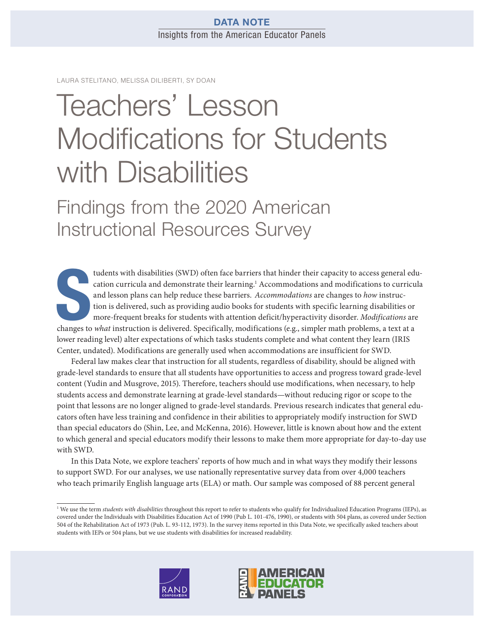# DATA NOTE Insights from the American Educator Panels

LAURA STELITANO, MELISSA DILIBERTI, SY DOAN

# Teachers' Lesson [Modifications for Students](https://www.rand.org/pubs/research_reports/RRA134-6.html)  with Disabilities

Findings from the 2020 American Instructional Resources Survey

tudents with disabilities (SWD) often face barriers that hinder their capacity to access general ed<br>cation curricula and demonstrate their learning.<sup>1</sup> Accommodations and modifications to curricu<br>and lesson plans can help tudents with disabilities (SWD) often face barriers that hinder their capacity to access general education curricula and demonstrate their learning.<sup>1</sup> Accommodations and modifications to curricula and lesson plans can help reduce these barriers. Accommodations are changes to how instruction is delivered, such as providing audio books for students with specific learning disabilities or more-frequent breaks for students with attention deficit/hyperactivity disorder. Modifications are lower reading level) alter expectations of which tasks students complete and what content they learn (IRIS Center, undated). Modifications are generally used when accommodations are insufficient for SWD.

Federal law makes clear that instruction for all students, regardless of disability, should be aligned with grade-level standards to ensure that all students have opportunities to access and progress toward grade-level content (Yudin and Musgrove, 2015). Therefore, teachers should use modifications, when necessary, to help students access and demonstrate learning at grade-level standards—without reducing rigor or scope to the point that lessons are no longer aligned to grade-level standards. Previous research indicates that general educators often have less training and confidence in their abilities to appropriately modify instruction for SWD than special educators do (Shin, Lee, and McKenna, 2016). However, little is known about how and the extent to which general and special educators modify their lessons to make them more appropriate for day-to-day use with SWD.

In this Data Note, we explore teachers' reports of how much and in what ways they modify their lessons to support SWD. For our analyses, we use nationally representative survey data from over 4,000 teachers who teach primarily English language arts (ELA) or math. Our sample was composed of 88 percent general

<sup>&</sup>lt;sup>1</sup> We use the term students with disabilities throughout this report to refer to students who qualify for Individualized Education Programs (IEPs), as covered under the Individuals with Disabilities Education Act of 1990 (Pub L. 101-476, 1990), or students with 504 plans, as covered under Section 504 of the Rehabilitation Act of 1973 (Pub. L. 93-112, 1973). In the survey items reported in this Data Note, we specifically asked teachers about students with IEPs or 504 plans, but we use students with disabilities for increased readability.



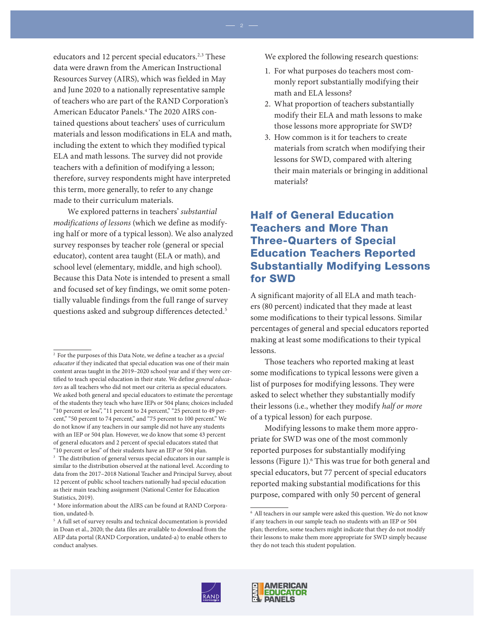educators and 12 percent special educators.<sup>2,3</sup> These data were drawn from the American Instructional Resources Survey (AIRS), which was fielded in May and June 2020 to a nationally representative sample of teachers who are part of the RAND Corporation's American Educator Panels.4 The 2020 AIRS contained questions about teachers' uses of curriculum materials and lesson modifications in ELA and math, including the extent to which they modified typical ELA and math lessons. The survey did not provide teachers with a definition of modifying a lesson; therefore, survey respondents might have interpreted this term, more generally, to refer to any change made to their curriculum materials.

We explored patterns in teachers' substantial modifications of lessons (which we define as modifying half or more of a typical lesson). We also analyzed survey responses by teacher role (general or special educator), content area taught (ELA or math), and school level (elementary, middle, and high school). Because this Data Note is intended to present a small and focused set of key findings, we omit some potentially valuable findings from the full range of survey questions asked and subgroup differences detected.<sup>5</sup>

We explored the following research questions:

- 1. For what purposes do teachers most commonly report substantially modifying their math and ELA lessons?
- 2. What proportion of teachers substantially modify their ELA and math lessons to make those lessons more appropriate for SWD?
- 3. How common is it for teachers to create materials from scratch when modifying their lessons for SWD, compared with altering their main materials or bringing in additional materials?

# Half of General Education Teachers and More Than Three-Quarters of Special Education Teachers Reported Substantially Modifying Lessons for SWD

A significant majority of all ELA and math teachers (80 percent) indicated that they made at least some modifications to their typical lessons. Similar percentages of general and special educators reported making at least some modifications to their typical lessons.

Those teachers who reported making at least some modifications to typical lessons were given a list of purposes for modifying lessons. They were asked to select whether they substantially modify their lessons (i.e., whether they modify half or more of a typical lesson) for each purpose.

Modifying lessons to make them more appropriate for SWD was one of the most commonly reported purposes for substantially modifying lessons (Figure 1).<sup>6</sup> This was true for both general and special educators, but 77 percent of special educators reported making substantial modifications for this purpose, compared with only 50 percent of general





<sup>&</sup>lt;sup>2</sup> For the purposes of this Data Note, we define a teacher as a special educator if they indicated that special education was one of their main content areas taught in the 2019–2020 school year and if they were certified to teach special education in their state. We define general educators as all teachers who did not meet our criteria as special educators. We asked both general and special educators to estimate the percentage of the students they teach who have IEPs or 504 plans; choices included "10 percent or less", "11 percent to 24 percent," "25 percent to 49 percent," "50 percent to 74 percent," and "75 percent to 100 percent." We do not know if any teachers in our sample did not have any students with an IEP or 504 plan. However, we do know that some 43 percent of general educators and 2 percent of special educators stated that "10 percent or less" of their students have an IEP or 504 plan.

<sup>&</sup>lt;sup>3</sup> The distribution of general versus special educators in our sample is similar to the distribution observed at the national level. According to data from the 2017–2018 National Teacher and Principal Survey, about 12 percent of public school teachers nationally had special education as their main teaching assignment (National Center for Education Statistics, 2019).

<sup>4</sup> More information about the AIRS can be found at RAND Corporation, undated-b.

<sup>&</sup>lt;sup>5</sup> A full set of survey results and technical documentation is provided in Doan et al., 2020; the data files are available to download from the AEP data portal (RAND Corporation, undated-a) to enable others to conduct analyses.

<sup>6</sup> All teachers in our sample were asked this question. We do not know if any teachers in our sample teach no students with an IEP or 504 plan; therefore, some teachers might indicate that they do not modify their lessons to make them more appropriate for SWD simply because they do not teach this student population.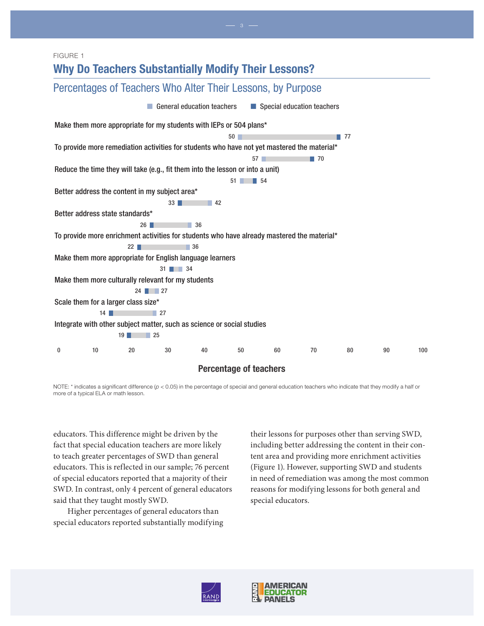#### FIGURE 1



NOTE: \* indicates a significant difference (p < 0.05) in the percentage of special and general education teachers who indicate that they modify a half or more of a typical ELA or math lesson.

educators. This difference might be driven by the fact that special education teachers are more likely to teach greater percentages of SWD than general educators. This is reflected in our sample; 76 percent of special educators reported that a majority of their SWD. In contrast, only 4 percent of general educators said that they taught mostly SWD.

Higher percentages of general educators than special educators reported substantially modifying their lessons for purposes other than serving SWD, including better addressing the content in their content area and providing more enrichment activities (Figure 1). However, supporting SWD and students in need of remediation was among the most common reasons for modifying lessons for both general and special educators.



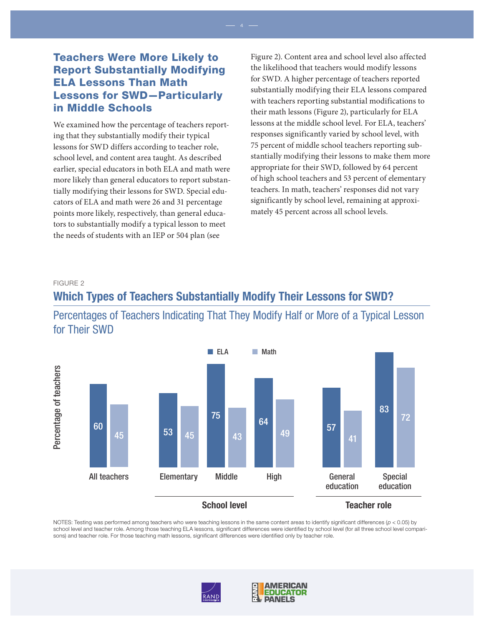# Teachers Were More Likely to Report Substantially Modifying ELA Lessons Than Math Lessons for SWD—Particularly in Middle Schools

We examined how the percentage of teachers reporting that they substantially modify their typical lessons for SWD differs according to teacher role, school level, and content area taught. As described earlier, special educators in both ELA and math were more likely than general educators to report substantially modifying their lessons for SWD. Special educators of ELA and math were 26 and 31 percentage points more likely, respectively, than general educators to substantially modify a typical lesson to meet the needs of students with an IEP or 504 plan (see

Figure 2). Content area and school level also affected the likelihood that teachers would modify lessons for SWD. A higher percentage of teachers reported substantially modifying their ELA lessons compared with teachers reporting substantial modifications to their math lessons (Figure 2), particularly for ELA lessons at the middle school level. For ELA, teachers' responses significantly varied by school level, with 75 percent of middle school teachers reporting substantially modifying their lessons to make them more appropriate for their SWD, followed by 64 percent of high school teachers and 53 percent of elementary teachers. In math, teachers' responses did not vary significantly by school level, remaining at approximately 45 percent across all school levels.

#### FIGURE 2

# Which Types of Teachers Substantially Modify Their Lessons for SWD? Percentages of Teachers Indicating That They Modify Half or More of a Typical Lesson for Their SWD



#### School level

NOTES: Testing was performed among teachers who were teaching lessons in the same content areas to identify significant differences ( $p < 0.05$ ) by school level and teacher role. Among those teaching ELA lessons, significant differences were identified by school level (for all three school level comparisons) and teacher role. For those teaching math lessons, significant differences were identified only by teacher role.



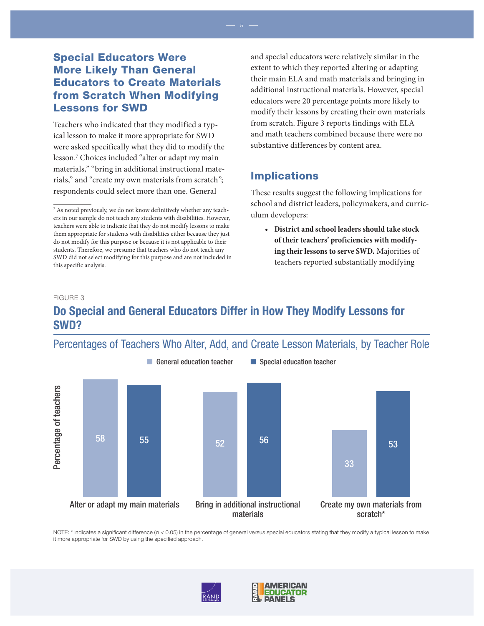# Special Educators Were More Likely Than General Educators to Create Materials from Scratch When Modifying Lessons for SWD

Teachers who indicated that they modified a typical lesson to make it more appropriate for SWD were asked specifically what they did to modify the lesson.7 Choices included "alter or adapt my main materials," "bring in additional instructional materials," and "create my own materials from scratch"; respondents could select more than one. General

and special educators were relatively similar in the extent to which they reported altering or adapting their main ELA and math materials and bringing in additional instructional materials. However, special educators were 20 percentage points more likely to modify their lessons by creating their own materials from scratch. Figure 3 reports findings with ELA and math teachers combined because there were no substantive differences by content area.

# Implications

These results suggest the following implications for school and district leaders, policymakers, and curriculum developers:

**• District and school leaders should take stock of their teachers' proficiencies with modifying their lessons to serve SWD.** Majorities of teachers reported substantially modifying

#### FIGURE 3

# Do Special and General Educators Differ in How They Modify Lessons for SWD?

# Percentages of Teachers Who Alter, Add, and Create Lesson Materials, by Teacher Role



NOTE: \* indicates a significant difference ( $p < 0.05$ ) in the percentage of general versus special educators stating that they modify a typical lesson to make it more appropriate for SWD by using the specified approach.







<sup>7</sup> As noted previously, we do not know definitively whether any teachers in our sample do not teach any students with disabilities. However, teachers were able to indicate that they do not modify lessons to make them appropriate for students with disabilities either because they just do not modify for this purpose or because it is not applicable to their students. Therefore, we presume that teachers who do not teach any SWD did not select modifying for this purpose and are not included in this specific analysis.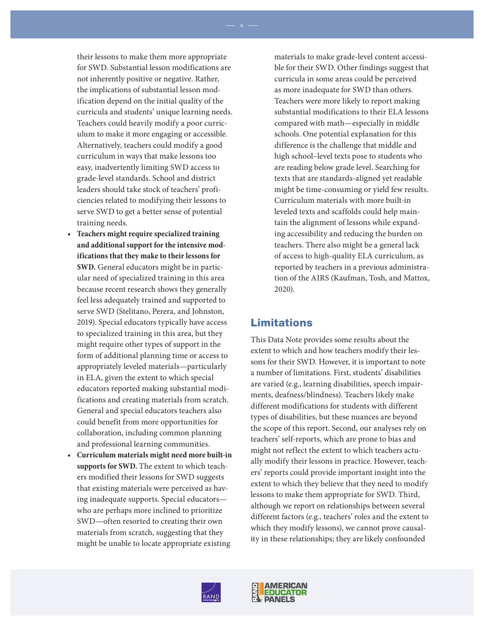their lessons to make them more appropriate for SWD. Substantial lesson modifications are not inherently positive or negative. Rather, the implications of substantial lesson modification depend on the initial quality of the curricula and students' unique learning needs. Teachers could heavily modify a poor curriculum to make it more engaging or accessible. Alternatively, teachers could modify a good curriculum in ways that make lessons too easy, inadvertently limiting SWD access to grade-level standards. School and district leaders should take stock of teachers' proficiencies related to modifying their lessons to serve SWD to get a better sense of potential training needs.

- **Teachers might require specialized training and additional support for the intensive modifications that they make to their lessons for SWD.** General educators might be in particular need of specialized training in this area because recent research shows they generally feel less adequately trained and supported to serve SWD (Stelitano, Perera, and Johnston, 2019). Special educators typically have access to specialized training in this area, but they might require other types of support in the form of additional planning time or access to appropriately leveled materials—particularly in ELA, given the extent to which special educators reported making substantial modifications and creating materials from scratch. General and special educators teachers also could benefit from more opportunities for collaboration, including common planning and professional learning communities.
- **Curriculum materials might need more built-in supports for SWD.** The extent to which teachers modified their lessons for SWD suggests that existing materials were perceived as having inadequate supports. Special educators who are perhaps more inclined to prioritize SWD—often resorted to creating their own materials from scratch, suggesting that they might be unable to locate appropriate existing

materials to make grade-level content accessible for their SWD. Other findings suggest that curricula in some areas could be perceived as more inadequate for SWD than others. Teachers were more likely to report making substantial modifications to their ELA lessons compared with math—especially in middle schools. One potential explanation for this difference is the challenge that middle and high school–level texts pose to students who are reading below grade level. Searching for texts that are standards-aligned yet readable might be time-consuming or yield few results. Curriculum materials with more built-in leveled texts and scaffolds could help maintain the alignment of lessons while expanding accessibility and reducing the burden on teachers. There also might be a general lack of access to high-quality ELA curriculum, as reported by teachers in a previous administration of the AIRS (Kaufman, Tosh, and Mattox, 2020).

# Limitations

This Data Note provides some results about the extent to which and how teachers modify their lessons for their SWD. However, it is important to note a number of limitations. First, students' disabilities are varied (e.g., learning disabilities, speech impairments, deafness/blindness). Teachers likely make different modifications for students with different types of disabilities, but these nuances are beyond the scope of this report. Second, our analyses rely on teachers' self-reports, which are prone to bias and might not reflect the extent to which teachers actually modify their lessons in practice. However, teachers' reports could provide important insight into the extent to which they believe that they need to modify lessons to make them appropriate for SWD. Third, although we report on relationships between several different factors (e.g., teachers' roles and the extent to which they modify lessons), we cannot prove causality in these relationships; they are likely confounded



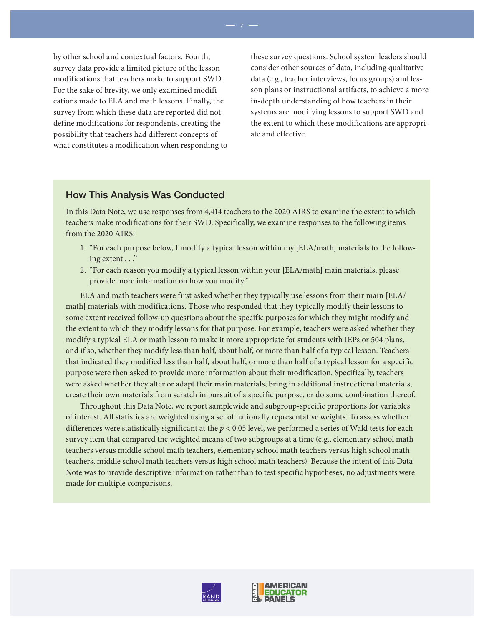by other school and contextual factors. Fourth, survey data provide a limited picture of the lesson modifications that teachers make to support SWD. For the sake of brevity, we only examined modifications made to ELA and math lessons. Finally, the survey from which these data are reported did not define modifications for respondents, creating the possibility that teachers had different concepts of what constitutes a modification when responding to

these survey questions. School system leaders should consider other sources of data, including qualitative data (e.g., teacher interviews, focus groups) and lesson plans or instructional artifacts, to achieve a more in-depth understanding of how teachers in their systems are modifying lessons to support SWD and the extent to which these modifications are appropriate and effective.

## How This Analysis Was Conducted

In this Data Note, we use responses from 4,414 teachers to the 2020 AIRS to examine the extent to which teachers make modifications for their SWD. Specifically, we examine responses to the following items from the 2020 AIRS:

- 1. "For each purpose below, I modify a typical lesson within my [ELA/math] materials to the following extent . . ."
- 2. "For each reason you modify a typical lesson within your [ELA/math] main materials, please provide more information on how you modify."

ELA and math teachers were first asked whether they typically use lessons from their main [ELA/ math] materials with modifications. Those who responded that they typically modify their lessons to some extent received follow-up questions about the specific purposes for which they might modify and the extent to which they modify lessons for that purpose. For example, teachers were asked whether they modify a typical ELA or math lesson to make it more appropriate for students with IEPs or 504 plans, and if so, whether they modify less than half, about half, or more than half of a typical lesson. Teachers that indicated they modified less than half, about half, or more than half of a typical lesson for a specific purpose were then asked to provide more information about their modification. Specifically, teachers were asked whether they alter or adapt their main materials, bring in additional instructional materials, create their own materials from scratch in pursuit of a specific purpose, or do some combination thereof.

Throughout this Data Note, we report samplewide and subgroup-specific proportions for variables of interest. All statistics are weighted using a set of nationally representative weights. To assess whether differences were statistically significant at the  $p < 0.05$  level, we performed a series of Wald tests for each survey item that compared the weighted means of two subgroups at a time (e.g., elementary school math teachers versus middle school math teachers, elementary school math teachers versus high school math teachers, middle school math teachers versus high school math teachers). Because the intent of this Data Note was to provide descriptive information rather than to test specific hypotheses, no adjustments were made for multiple comparisons.



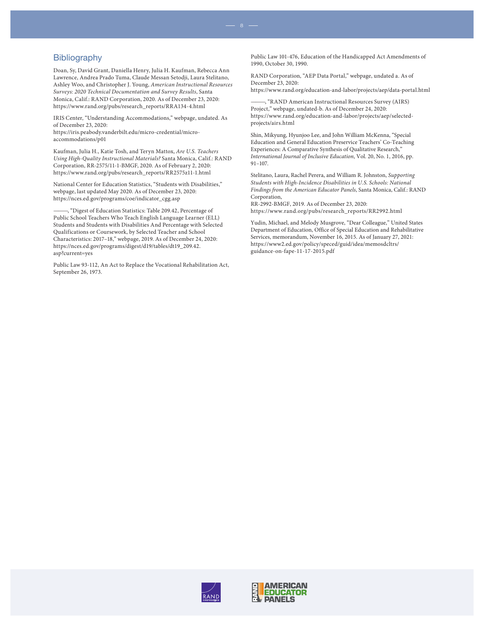manna go aphroj.<br>Doan, Sy, David Grant, Daniella Henry, Julia H. Kaufman, Rebecca Ann Lawrence, Andrea Prado Tuma, Claude Messan Setodji, Laura Stelitano, Ashley Woo, and Christopher J. Young, American Instructional Resources Surveys: 2020 Technical Documentation and Survey Results, Santa Monica, Calif.: RAND Corporation, 2020. As of December 23, 2020: [https://www.rand.org/pubs/research\\_reports/RRA134-4.html](https://www.rand.org/pubs/research_reports/RRA134-4.html)

IRIS Center, "Understanding Accommodations," webpage, undated. As of December 23, 2020:

[https://iris.peabody.vanderbilt.edu/micro-credential/micro](https://iris.peabody.vanderbilt.edu/micro-credential/micro-accommodations/p01)accommodations/p01

Kaufman, Julia H., Katie Tosh, and Teryn Mattox, Are U.S. Teachers Using High-Quality Instructional Materials? Santa Monica, Calif.: RAND Corporation, RR-2575/11-1-BMGF, 2020. As of February 2, 2020: [https://www.rand.org/pubs/research\\_reports/RR2575z11-1.html](https://www.rand.org/pubs/research_reports/RR2575z11-1.html)

National Center for Education Statistics, "Students with Disabilities," webpage, last updated May 2020. As of December 23, 2020: [https://nces.ed.gov/programs/coe/indicator\\_cgg.asp](https://nces.ed.gov/programs/coe/indicator_cgg.asp)

———, "Digest of Education Statistics: Table 209.42, Percentage of Public School Teachers Who Teach English Language Learner (ELL) Students and Students with Disabilities And Percentage with Selected Qualifications or Coursework, by Selected Teacher and School Characteristics: 2017–18," webpage, 2019. As of December 24, 2020: [https://nces.ed.gov/programs/digest/d19/tables/dt19\\_209.42.](https://nces.ed.gov/programs/digest/d19/tables/dt19_209.42.asp?current=yes) asp?current=yes

Public Law 93-112, An Act to Replace the Vocational Rehabilitation Act, September 26, 1973.

Public Law 101-476, Education of the Handicapped Act Amendments of 1990, October 30, 1990.

RAND Corporation, "AEP Data Portal," webpage, undated a. As of December 23, 2020: <https://www.rand.org/education-and-labor/projects/aep/data-portal.html>

-, "RAND American Instructional Resources Survey (AIRS) Project," webpage, undated-b. As of December 24, 2020: [https://www.rand.org/education-and-labor/projects/aep/selected](https://www.rand.org/education-and-labor/projects/aep/selected-projects/airs.html)projects/airs.html

Shin, Mikyung, Hyunjoo Lee, and John William McKenna, "Special Education and General Education Preservice Teachers' Co-Teaching Experiences: A Comparative Synthesis of Qualitative Research," International Journal of Inclusive Education, Vol. 20, No. 1, 2016, pp. 91–107.

Stelitano, Laura, Rachel Perera, and William R. Johnston, Supporting Students with High-Incidence Disabilities in U.S. Schools: National Findings from the American Educator Panels, Santa Monica, Calif.: RAND Corporation,

RR-2992-BMGF, 2019. As of December 23, 2020: [https://www.rand.org/pubs/research\\_reports/RR2992.html](https://www.rand.org/pubs/research_reports/RR2992.html)

Yudin, Michael, and Melody Musgrove, "Dear Colleague," United States Department of Education, Office of Special Education and Rehabilitative Services, memorandum, November 16, 2015. As of January 27, 2021: [https://www2.ed.gov/policy/speced/guid/idea/memosdcltrs/](https://www2.ed.gov/policy/speced/guid/idea/memosdcltrs/guidance-on-fape-11-17-2015.pdf) guidance-on-fape-11-17-2015.pdf